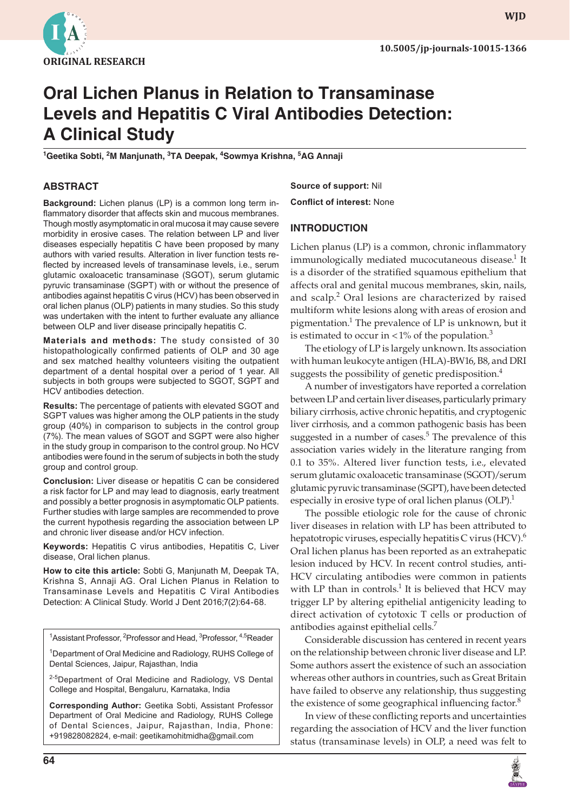

**wjd**

# **Oral Lichen Planus in Relation to Transaminase Levels and Hepatitis C Viral Antibodies Detection: A Clinical Study**

<sup>1</sup>Geetika Sobti, <sup>2</sup>M Manjunath, <sup>3</sup>TA Deepak, <sup>4</sup>Sowmya Krishna, <sup>5</sup>AG Annaji

## **abstract**

**Background:** Lichen planus (LP) is a common long term inflammatory disorder that affects skin and mucous membranes. Though mostly asymptomatic in oral mucosa it may cause severe morbidity in erosive cases. The relation between LP and liver diseases especially hepatitis C have been proposed by many authors with varied results. Alteration in liver function tests reflected by increased levels of transaminase levels, i.e., serum glutamic oxaloacetic transaminase (SGOT), serum glutamic pyruvic transaminase (SGPT) with or without the presence of antibodies against hepatitis C virus (HCV) has been observed in oral lichen planus (OLP) patients in many studies. So this study was undertaken with the intent to further evaluate any alliance between OLP and liver disease principally hepatitis C.

**Materials and methods:** The study consisted of 30 histopathologically confirmed patients of OLP and 30 age and sex matched healthy volunteers visiting the outpatient department of a dental hospital over a period of 1 year. All subjects in both groups were subjected to SGOT, SGPT and HCV antibodies detection.

**Results:** The percentage of patients with elevated SGOT and SGPT values was higher among the OLP patients in the study group (40%) in comparison to subjects in the control group (7%). The mean values of SGOT and SGPT were also higher in the study group in comparison to the control group. No HCV antibodies were found in the serum of subjects in both the study group and control group.

**Conclusion:** Liver disease or hepatitis C can be considered a risk factor for LP and may lead to diagnosis, early treatment and possibly a better prognosis in asymptomatic OLP patients. Further studies with large samples are recommended to prove the current hypothesis regarding the association between LP and chronic liver disease and/or HCV infection.

**Keywords:** Hepatitis C virus antibodies, Hepatitis C, Liver disease, Oral lichen planus.

**How to cite this article:** Sobti G, Manjunath M, Deepak TA, Krishna S, Annaji AG. Oral Lichen Planus in Relation to Transaminase Levels and Hepatitis C Viral Antibodies Detection: A Clinical Study. World J Dent 2016;7(2):64-68.

<sup>1</sup>Assistant Professor, <sup>2</sup>Professor and Head, <sup>3</sup>Professor, <sup>4,5</sup>Reader

<sup>1</sup>Department of Oral Medicine and Radiology, RUHS College of Dental Sciences, Jaipur, Rajasthan, India

<sup>2-5</sup>Department of Oral Medicine and Radiology, VS Dental College and Hospital, Bengaluru, Karnataka, India

**Corresponding Author:** Geetika Sobti, Assistant Professor Department of Oral Medicine and Radiology, RUHS College of Dental Sciences, Jaipur, Rajasthan, India, Phone: +919828082824, e-mail: geetikamohitmidha@gmail.com

**Source of support:** Nil **Conflict of interest:** None

### **Introduction**

Lichen planus (LP) is a common, chronic inflammatory immunologically mediated mucocutaneous disease.<sup>1</sup> It is a disorder of the stratified squamous epithelium that affects oral and genital mucous membranes, skin, nails, and scalp.<sup>2</sup> Oral lesions are characterized by raised multiform white lesions along with areas of erosion and pigmentation.<sup>1</sup> The prevalence of LP is unknown, but it is estimated to occur in  $\langle 1\%$  of the population.<sup>3</sup>

The etiology of LP is largely unknown. Its association with human leukocyte antigen (HLA)-BW16, B8, and DRI suggests the possibility of genetic predisposition.<sup>4</sup>

A number of investigators have reported a correlation between LP and certain liver diseases, particularly primary biliary cirrhosis, active chronic hepatitis, and cryptogenic liver cirrhosis, and a common pathogenic basis has been suggested in a number of cases.<sup>5</sup> The prevalence of this association varies widely in the literature ranging from 0.1 to 35%. Altered liver function tests, i.e., elevated serum glutamic oxaloacetic transaminase (SGOT)/serum glutamic pyruvic transaminase (SGPT), have been detected especially in erosive type of oral lichen planus  $(OLP).$ <sup>1</sup>

The possible etiologic role for the cause of chronic liver diseases in relation with LP has been attributed to hepatotropic viruses, especially hepatitis C virus (HCV).<sup>6</sup> Oral lichen planus has been reported as an extrahepatic lesion induced by HCV. In recent control studies, anti-HCV circulating antibodies were common in patients with LP than in controls.<sup>1</sup> It is believed that HCV may trigger LP by altering epithelial antigenicity leading to direct activation of cytotoxic T cells or production of antibodies against epithelial cells.<sup>7</sup>

Considerable discussion has centered in recent years on the relationship between chronic liver disease and LP. Some authors assert the existence of such an association whereas other authors in countries, such as Great Britain have failed to observe any relationship, thus suggesting the existence of some geographical influencing factor.<sup>8</sup>

In view of these conflicting reports and uncertainties regarding the association of HCV and the liver function status (transaminase levels) in OLP, a need was felt to

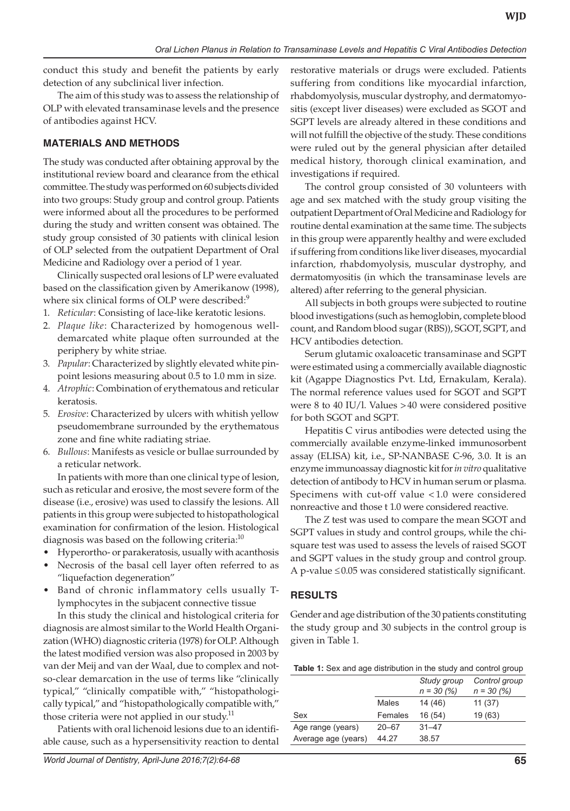conduct this study and benefit the patients by early detection of any subclinical liver infection.

The aim of this study was to assess the relationship of OLP with elevated transaminase levels and the presence of antibodies against HCV.

# **MATERIALS AND METHODS**

The study was conducted after obtaining approval by the institutional review board and clearance from the ethical committee. The study was performed on 60 subjects divided into two groups: Study group and control group. Patients were informed about all the procedures to be performed during the study and written consent was obtained. The study group consisted of 30 patients with clinical lesion of OLP selected from the outpatient Department of Oral Medicine and Radiology over a period of 1 year.

Clinically suspected oral lesions of LP were evaluated based on the classification given by Amerikanow (1998), where six clinical forms of OLP were described:<sup>9</sup>

- 1. *Reticular*: Consisting of lace-like keratotic lesions.
- 2. *Plaque like*: Characterized by homogenous welldemarcated white plaque often surrounded at the periphery by white striae.
- 3. *Papular*: Characterized by slightly elevated white pinpoint lesions measuring about 0.5 to 1.0 mm in size.
- 4. *Atrophic*: Combination of erythematous and reticular keratosis.
- 5. *Erosive*: Characterized by ulcers with whitish yellow pseudomembrane surrounded by the erythematous zone and fine white radiating striae.
- 6. *Bullous*: Manifests as vesicle or bullae surrounded by a reticular network.

In patients with more than one clinical type of lesion, such as reticular and erosive, the most severe form of the disease (i.e., erosive) was used to classify the lesions. All patients in this group were subjected to histopathological examination for confirmation of the lesion. Histological diagnosis was based on the following criteria:<sup>10</sup>

- Hyperortho- or parakeratosis, usually with acanthosis
- Necrosis of the basal cell layer often referred to as "liquefaction degeneration"
- Band of chronic inflammatory cells usually Tlymphocytes in the subjacent connective tissue

In this study the clinical and histological criteria for diagnosis are almost similar to the World Health Organization (WHO) diagnostic criteria (1978) for OLP. Although the latest modified version was also proposed in 2003 by van der Meij and van der Waal, due to complex and notso-clear demarcation in the use of terms like "clinically typical," "clinically compatible with," "histopathologically typical," and "histopathologically compatible with," those criteria were not applied in our study. $^{11}$ 

Patients with oral lichenoid lesions due to an identifiable cause, such as a hypersensitivity reaction to dental restorative materials or drugs were excluded. Patients suffering from conditions like myocardial infarction, rhabdomyolysis, muscular dystrophy, and dermatomyositis (except liver diseases) were excluded as SGOT and SGPT levels are already altered in these conditions and will not fulfill the objective of the study. These conditions were ruled out by the general physician after detailed medical history, thorough clinical examination, and investigations if required.

The control group consisted of 30 volunteers with age and sex matched with the study group visiting the outpatient Department of Oral Medicine and Radiology for routine dental examination at the same time. The subjects in this group were apparently healthy and were excluded if suffering from conditions like liver diseases, myocardial infarction, rhabdomyolysis, muscular dystrophy, and dermatomyositis (in which the transaminase levels are altered) after referring to the general physician.

All subjects in both groups were subjected to routine blood investigations (such as hemoglobin, complete blood count, and Random blood sugar (RBS)), SGOT, SGPT, and HCV antibodies detection.

Serum glutamic oxaloacetic transaminase and SGPT were estimated using a commercially available diagnostic kit (Agappe Diagnostics Pvt. Ltd, Ernakulam, Kerala). The normal reference values used for SGOT and SGPT were 8 to 40 IU/l. Values >40 were considered positive for both SGOT and SGPT.

Hepatitis C virus antibodies were detected using the commercially available enzyme-linked immunosorbent assay (ELISA) kit, i.e., SP-NANBASE C-96, 3.0. It is an enzyme immunoassay diagnostic kit for *in vitro* qualitative detection of antibody to HCV in human serum or plasma. Specimens with cut-off value < 1.0 were considered nonreactive and those t 1.0 were considered reactive.

The *Z* test was used to compare the mean SGOT and SGPT values in study and control groups, while the chisquare test was used to assess the levels of raised SGOT and SGPT values in the study group and control group. A p-value ≤0.05 was considered statistically significant.

# **RESULTS**

Gender and age distribution of the 30 patients constituting the study group and 30 subjects in the control group is given in Table 1.

| <b>Table 1:</b> Sex and age distribution in the study and control group |  |
|-------------------------------------------------------------------------|--|
|-------------------------------------------------------------------------|--|

|                     |           | Study group<br>$n = 30 (%)$ | Control group<br>$n = 30 (%)$ |
|---------------------|-----------|-----------------------------|-------------------------------|
|                     | Males     | 14 (46)                     | 11(37)                        |
| Sex                 | Females   | 16(54)                      | 19 (63)                       |
| Age range (years)   | $20 - 67$ | $31 - 47$                   |                               |
| Average age (years) | 44.27     | 38.57                       |                               |
|                     |           |                             |                               |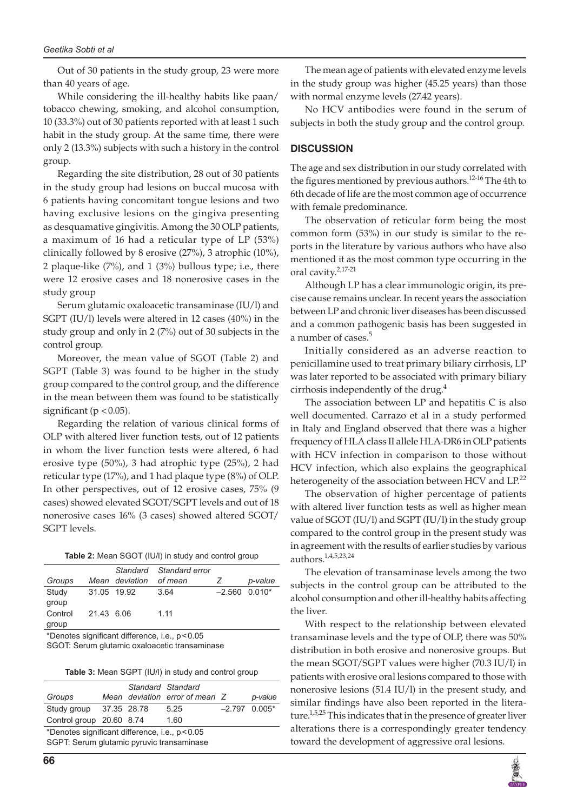#### *Geetika Sobti et al*

Out of 30 patients in the study group, 23 were more than 40 years of age.

While considering the ill-healthy habits like paan/ tobacco chewing, smoking, and alcohol consumption, 10 (33.3%) out of 30 patients reported with at least 1 such habit in the study group. At the same time, there were only 2 (13.3%) subjects with such a history in the control group.

Regarding the site distribution, 28 out of 30 patients in the study group had lesions on buccal mucosa with 6 patients having concomitant tongue lesions and two having exclusive lesions on the gingiva presenting as desquamative gingivitis. Among the 30 OLP patients, a maximum of 16 had a reticular type of LP (53%) clinically followed by 8 erosive (27%), 3 atrophic (10%), 2 plaque-like (7%), and 1 (3%) bullous type; i.e., there were 12 erosive cases and 18 nonerosive cases in the study group

Serum glutamic oxaloacetic transaminase (IU/l) and SGPT (IU/l) levels were altered in 12 cases (40%) in the study group and only in 2 (7%) out of 30 subjects in the control group.

Moreover, the mean value of SGOT (Table 2) and SGPT (Table 3) was found to be higher in the study group compared to the control group, and the difference in the mean between them was found to be statistically significant ( $p < 0.05$ ).

Regarding the relation of various clinical forms of OLP with altered liver function tests, out of 12 patients in whom the liver function tests were altered, 6 had erosive type (50%), 3 had atrophic type (25%), 2 had reticular type (17%), and 1 had plaque type (8%) of OLP. In other perspectives, out of 12 erosive cases, 75% (9 cases) showed elevated SGOT/SGPT levels and out of 18 nonerosive cases 16% (3 cases) showed altered SGOT/ SGPT levels.

| Table 2: Mean SGOT (IU/I) in study and control group |  |  |  |
|------------------------------------------------------|--|--|--|
|------------------------------------------------------|--|--|--|

| Groups           |            | Mean deviation | Standard Standard error<br>of mean |                 | p-value |
|------------------|------------|----------------|------------------------------------|-----------------|---------|
| Study<br>group   |            | 31.05 19.92    | 3.64                               | $-2.560$ 0.010* |         |
| Control<br>group | 21.43 6.06 |                | 1.11                               |                 |         |

\*Denotes significant difference, i.e., p<0.05

SGOT: Serum glutamic oxaloacetic transaminase

**Table 3:** Mean SGPT (IU/l) in study and control group

|                                                 |  |  | Standard Standard              |                 |         |
|-------------------------------------------------|--|--|--------------------------------|-----------------|---------|
| Groups                                          |  |  | Mean deviation error of mean Z |                 | p-value |
| Study group 37.35 28.78                         |  |  | 5.25                           | $-2.797$ 0.005* |         |
| Control group 20.60 8.74                        |  |  | 1.60                           |                 |         |
| *Denotes significant difference, i.e., p < 0.05 |  |  |                                |                 |         |
| .                                               |  |  |                                |                 |         |

SGPT: Serum glutamic pyruvic transaminase

The mean age of patients with elevated enzyme levels in the study group was higher (45.25 years) than those with normal enzyme levels (27.42 years).

No HCV antibodies were found in the serum of subjects in both the study group and the control group.

#### **DISCUSSION**

The age and sex distribution in our study correlated with the figures mentioned by previous authors.<sup>12-16</sup> The 4th to 6th decade of life are the most common age of occurrence with female predominance.

The observation of reticular form being the most common form (53%) in our study is similar to the reports in the literature by various authors who have also mentioned it as the most common type occurring in the oral cavity.2,17-21

Although LP has a clear immunologic origin, its precise cause remains unclear. In recent years the association between LP and chronic liver diseases has been discussed and a common pathogenic basis has been suggested in a number of cases.<sup>5</sup>

Initially considered as an adverse reaction to penicillamine used to treat primary biliary cirrhosis, LP was later reported to be associated with primary biliary cirrhosis independently of the drug. $4$ 

The association between LP and hepatitis C is also well documented. Carrazo et al in a study performed in Italy and England observed that there was a higher frequency of HLA class II allele HLA-DR6 in OLP patients with HCV infection in comparison to those without HCV infection, which also explains the geographical heterogeneity of the association between HCV and  $LP^{22}$ 

The observation of higher percentage of patients with altered liver function tests as well as higher mean value of SGOT (IU/l) and SGPT (IU/l) in the study group compared to the control group in the present study was in agreement with the results of earlier studies by various authors.1,4,5,23,24

The elevation of transaminase levels among the two subjects in the control group can be attributed to the alcohol consumption and other ill-healthy habits affecting the liver.

With respect to the relationship between elevated transaminase levels and the type of OLP, there was 50% distribution in both erosive and nonerosive groups. But the mean SGOT/SGPT values were higher (70.3 IU/l) in patients with erosive oral lesions compared to those with nonerosive lesions (51.4 IU/l) in the present study, and similar findings have also been reported in the literature.<sup>1,5,25</sup> This indicates that in the presence of greater liver alterations there is a correspondingly greater tendency toward the development of aggressive oral lesions.

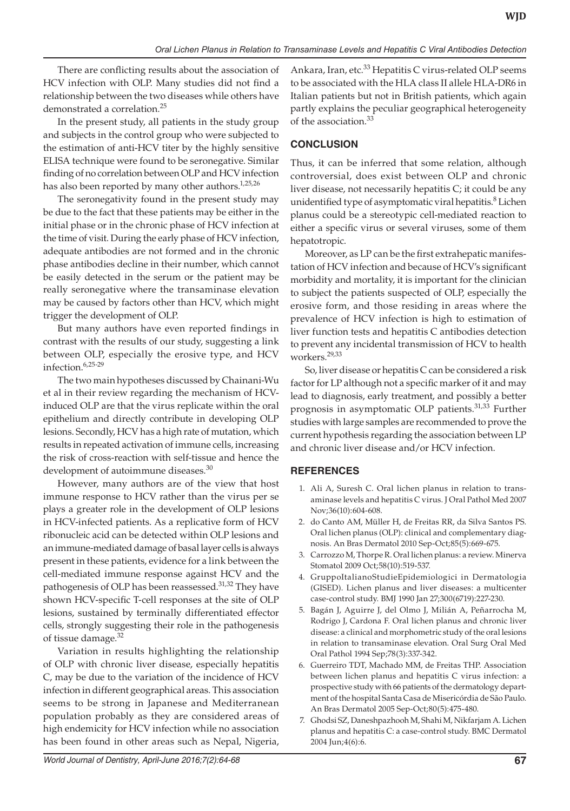There are conflicting results about the association of HCV infection with OLP. Many studies did not find a relationship between the two diseases while others have demonstrated a correlation.<sup>25</sup>

In the present study, all patients in the study group and subjects in the control group who were subjected to the estimation of anti-HCV titer by the highly sensitive ELISA technique were found to be seronegative. Similar finding of no correlation between OLP and HCV infection has also been reported by many other authors. $1,25,26$ 

The seronegativity found in the present study may be due to the fact that these patients may be either in the initial phase or in the chronic phase of HCV infection at the time of visit. During the early phase of HCV infection, adequate antibodies are not formed and in the chronic phase antibodies decline in their number, which cannot be easily detected in the serum or the patient may be really seronegative where the transaminase elevation may be caused by factors other than HCV, which might trigger the development of OLP.

But many authors have even reported findings in contrast with the results of our study, suggesting a link between OLP, especially the erosive type, and HCV infection.6,25-29

The two main hypotheses discussed by Chainani-Wu et al in their review regarding the mechanism of HCVinduced OLP are that the virus replicate within the oral epithelium and directly contribute in developing OLP lesions. Secondly, HCV has a high rate of mutation, which results in repeated activation of immune cells, increasing the risk of cross-reaction with self-tissue and hence the development of autoimmune diseases.<sup>30</sup>

However, many authors are of the view that host immune response to HCV rather than the virus per se plays a greater role in the development of OLP lesions in HCV-infected patients. As a replicative form of HCV ribonucleic acid can be detected within OLP lesions and an immune-mediated damage of basal layer cells is always present in these patients, evidence for a link between the cell-mediated immune response against HCV and the pathogenesis of OLP has been reassessed.<sup>31,32</sup> They have shown HCV-specific T-cell responses at the site of OLP lesions, sustained by terminally differentiated effector cells, strongly suggesting their role in the pathogenesis of tissue damage.<sup>32</sup>

Variation in results highlighting the relationship of OLP with chronic liver disease, especially hepatitis C, may be due to the variation of the incidence of HCV infection in different geographical areas. This association seems to be strong in Japanese and Mediterranean population probably as they are considered areas of high endemicity for HCV infection while no association has been found in other areas such as Nepal, Nigeria,

Ankara, Iran, etc.<sup>33</sup> Hepatitis C virus-related OLP seems to be associated with the HLA class II allele HLA-DR6 in Italian patients but not in British patients, which again partly explains the peculiar geographical heterogeneity of the association.<sup>33</sup>

## **CONCLUSION**

Thus, it can be inferred that some relation, although controversial, does exist between OLP and chronic liver disease, not necessarily hepatitis C; it could be any unidentified type of asymptomatic viral hepatitis.<sup>8</sup> Lichen planus could be a stereotypic cell-mediated reaction to either a specific virus or several viruses, some of them hepatotropic.

Moreover, as LP can be the first extrahepatic manifestation of HCV infection and because of HCV's significant morbidity and mortality, it is important for the clinician to subject the patients suspected of OLP, especially the erosive form, and those residing in areas where the prevalence of HCV infection is high to estimation of liver function tests and hepatitis C antibodies detection to prevent any incidental transmission of HCV to health workers.29,33

So, liver disease or hepatitis C can be considered a risk factor for LP although not a specific marker of it and may lead to diagnosis, early treatment, and possibly a better prognosis in asymptomatic OLP patients.<sup>31,33</sup> Further studies with large samples are recommended to prove the current hypothesis regarding the association between LP and chronic liver disease and/or HCV infection.

## **REFERENCES**

- 1. Ali A, Suresh C. Oral lichen planus in relation to transaminase levels and hepatitis C virus. J Oral Pathol Med 2007 Nov;36(10):604-608.
- 2. do Canto AM, Müller H, de Freitas RR, da Silva Santos PS. Oral lichen planus (OLP): clinical and complementary diagnosis. An Bras Dermatol 2010 Sep-Oct;85(5):669-675.
- 3. Carrozzo M, Thorpe R. Oral lichen planus: a review. Minerva Stomatol 2009 Oct;58(10):519-537.
- 4. GruppoItalianoStudieEpidemiologici in Dermatologia (GISED). Lichen planus and liver diseases: a multicenter case-control study. BMJ 1990 Jan 27;300(6719):227-230.
- 5. Bagán J, Aguirre J, del Olmo J, Milián A, Peñarrocha M, Rodrigo J, Cardona F. Oral lichen planus and chronic liver disease: a clinical and morphometric study of the oral lesions in relation to transaminase elevation. Oral Surg Oral Med Oral Pathol 1994 Sep;78(3):337-342.
- 6. Guerreiro TDT, Machado MM, de Freitas THP. Association between lichen planus and hepatitis C virus infection: a prospective study with 66 patients of the dermatology department of the hospital Santa Casa de Misericórdia de São Paulo. An Bras Dermatol 2005 Sep-Oct;80(5):475-480.
- 7. Ghodsi SZ, Daneshpazhooh M, Shahi M, Nikfarjam A. Lichen planus and hepatitis C: a case-control study. BMC Dermatol 2004 Jun;4(6):6.